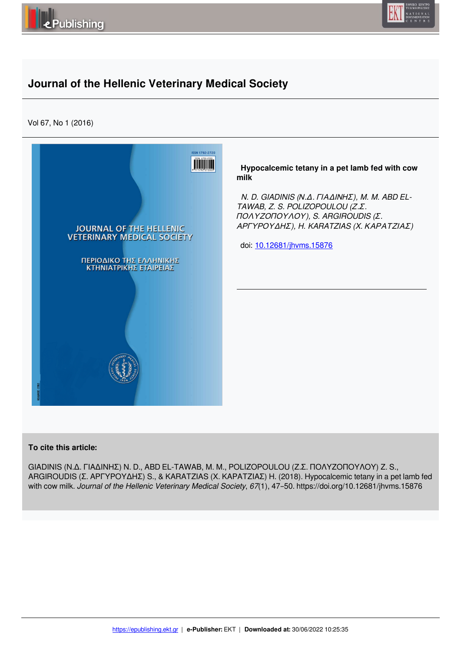



# **Journal of the Hellenic Veterinary Medical Society**

Vol 67, No 1 (2016)



## **To cite this article:**

GIADINIS (Ν.Δ. ΓΙΑΔΙΝΗΣ) N. D., ABD EL-TAWAB, M. M., POLIZOPOULOU (Ζ.Σ. ΠΟΛΥΖΟΠΟΥΛΟΥ) Z. S., ARGIROUDIS (Σ. ΑΡΓΥΡΟΥΔΗΣ) S., & KARATZIAS (X. ΚΑΡΑΤΖΙΑΣ) H. (2018). Hypocalcemic tetany in a pet lamb fed with cow milk. *Journal of the Hellenic Veterinary Medical Society*, *67*(1), 47–50. https://doi.org/10.12681/jhvms.15876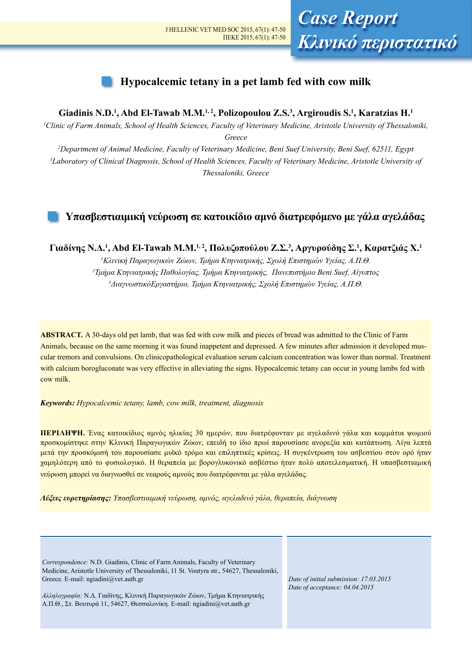# **Hypocalcemic tetany in a pet lamb fed with cow milk**

## **Giadinis N.D.1 , Abd El-Tawab M.M.1, 2, Polizopoulou Z.S.3 , Argiroudis S.1 , Karatzias H.1**

*1 Clinic of Farm Animals, School of Health Sciences, Faculty of Veterinary Medicine, Aristotle University of Thessaloniki, Greece*

*2 Department of Animal Medicine, Faculty of Veterinary Medicine, Beni Suef University, Beni Suef, 62511, Egypt 3 Laboratory of Clinical Diagnosis, School of Health Sciences, Faculty of Veterinary Medicine, Aristotle University of Thessaloniki, Greece*

# **Υπασβεστιαιμική νεύρωση σε κατοικίδιο αμνό διατρεφόμενο με γάλα αγελάδας**

**Γιαδίνης Ν.Δ.<sup>1</sup> , Abd El-Tawab M.M.1, 2, Πολυζοπούλου Z.Σ.<sup>3</sup> , Aργυρούδης Σ.<sup>1</sup> , Kαρατζιάς Χ.<sup>1</sup>**

*1 Κλινική Παραγωγικών Ζώων, Τμήμα Κτηνιατρικής, Σχολή Επιστημών Υγείας, Α.Π.Θ. 2 Τμήμα Κτηνιατρικής Παθολογίας, Τμήμα Κτηνιατρικής, Πανεπιστήμιο Beni Suef, Αίγυπτος 3 ΔιαγνωστικόΕργαστήριο, Τμήμα Κτηνιατρικής, Σχολή Επιστημών Υγείας, Α.Π.Θ.*

**ABSTRACT.** A 30-days old pet lamb, that was fed with cow milk and pieces of bread was admitted to the Clinic of Farm Animals, because on the same morning it was found inappetent and depressed. A few minutes after admission it developed muscular tremors and convulsions. On clinicopathological evaluation serum calcium concentration was lower than normal. Treatment with calcium borogluconate was very effective in alleviating the signs. Hypocalcemic tetany can occur in young lambs fed with cow milk.

### *Keywords: Hypocalcemic tetany, lamb, cow milk, treatment, diagnosis*

**ΠΕΡΙΛΗΨΗ.** Ένας κατοικίδιος αμνός ηλικίας 30 ημερών, που διατρέφονταν με αγελαδινό γάλα και κομμάτια ψωμιού προσκομίστηκε στην Κλινική Παραγωγικών Ζώων, επειδή το ίδιο πρωί παρουσίασε ανορεξία και κατάπτωση. Λίγα λεπτά μετά την προσκόμισή του παρουσίασε μυϊκό τρόμο και επιληπτικές κρίσεις. Η συγκέντρωση του ασβεστίου στον ορό ήταν χαμηλότερη από το φυσιολογικό. Η θεραπεία με βορογλυκονικό ασβέστιο ήταν πολύ αποτελεσματική. Η υπασβεστιαμική νεύρωση μπορεί να διαγνωσθεί σε νεαρούς αμνούς που διατρέφονται με γάλα αγελάδας.

*Λέξεις ευρετηρίασης: Υπασβεστιαιμική νεύρωση, αμνός, αγελαδινό γάλα, θεραπεία, διάγνωση*

*Correspondence:* N.D. Giadinis, Clinic of Farm Animals, Faculty of Veterinary Medicine, Aristotle University of Thessaloniki, 11 St. Voutyra str., 54627, Thessaloniki, Greece. E-mail: ngiadini@vet.auth.gr

*Αλληλογραφία:* Ν.Δ. Γιαδίνης, Κλινική Παραγωγικών Ζώων, Τμήμα Κτηνιατρικής Α.Π.Θ., Στ. Βουτυρά 11, 54627, Θεσσαλονίκη. E-mail: ngiadini@vet.auth.gr

*Date of initial submission: 17.03.2015 Date of acceptance: 04.04.2015*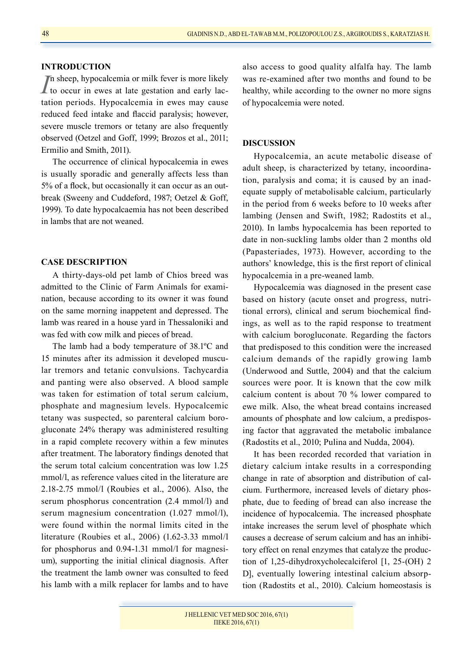## **INTRODUCTION**

*I*<sup>n</sup> sheep, hypocalcemia or milk fever is more likely to occur in ewes at late gestation and early lacn sheep, hypocalcemia or milk fever is more likely tation periods. Hypocalcemia in ewes may cause reduced feed intake and flaccid paralysis; however, severe muscle tremors or tetany are also frequently observed (Oetzel and Goff, 1999; Brozos et al., 2011; Ermilio and Smith, 2011).

The occurrence of clinical hypocalcemia in ewes is usually sporadic and generally affects less than 5% of a flock, but occasionally it can occur as an outbreak (Sweeny and Cuddeford, 1987; Oetzel & Goff, 1999). To date hypocalcaemia has not been described in lambs that are not weaned.

### **CASE DESCRIPTION**

A thirty-days-old pet lamb of Chios breed was admitted to the Clinic of Farm Animals for examination, because according to its owner it was found on the same morning inappetent and depressed. The lamb was reared in a house yard in Thessaloniki and was fed with cow milk and pieces of bread.

The lamb had a body temperature of 38.1ºC and 15 minutes after its admission it developed muscular tremors and tetanic convulsions. Tachycardia and panting were also observed. A blood sample was taken for estimation of total serum calcium, phosphate and magnesium levels. Hypocalcemic tetany was suspected, so parenteral calcium borogluconate 24% therapy was administered resulting in a rapid complete recovery within a few minutes after treatment. The laboratory findings denoted that the serum total calcium concentration was low 1.25 mmol/l, as reference values cited in the literature are 2.18-2.75 mmol/l (Roubies et al., 2006). Also, the serum phosphorus concentration (2.4 mmol/l) and serum magnesium concentration (1.027 mmol/l), were found within the normal limits cited in the literature (Roubies et al., 2006) (1.62-3.33 mmol/l for phosphorus and 0.94-1.31 mmol/l for magnesium), supporting the initial clinical diagnosis. After the treatment the lamb owner was consulted to feed his lamb with a milk replacer for lambs and to have

also access to good quality alfalfa hay. The lamb was re-examined after two months and found to be healthy, while according to the owner no more signs of hypocalcemia were noted.

## **DISCUSSION**

Hypocalcemia, an acute metabolic disease of adult sheep, is characterized by tetany, incoordination, paralysis and coma; it is caused by an inadequate supply of metabolisable calcium, particularly in the period from 6 weeks before to 10 weeks after lambing (Jensen and Swift, 1982; Radostits et al., 2010). In lambs hypocalcemia has been reported to date in non-suckling lambs older than 2 months old (Papasteriades, 1973). However, according to the authors' knowledge, this is the first report of clinical hypocalcemia in a pre-weaned lamb.

Hypocalcemia was diagnosed in the present case based on history (acute onset and progress, nutritional errors), clinical and serum biochemical findings, as well as to the rapid response to treatment with calcium borogluconate. Regarding the factors that predisposed to this condition were the increased calcium demands of the rapidly growing lamb (Underwood and Suttle, 2004) and that the calcium sources were poor. It is known that the cow milk calcium content is about 70 % lower compared to ewe milk. Also, the wheat bread contains increased amounts of phosphate and low calcium, a predisposing factor that aggravated the metabolic imbalance (Radostits et al., 2010; Pulina and Nudda, 2004).

It has been recorded recorded that variation in dietary calcium intake results in a corresponding change in rate of absorption and distribution of calcium. Furthermore, increased levels of dietary phosphate, due to feeding of bread can also increase the incidence of hypocalcemia. The increased phosphate intake increases the serum level of phosphate which causes a decrease of serum calcium and has an inhibitory effect on renal enzymes that catalyze the production of 1,25-dihydroxycholecalciferol [1, 25-(OH) 2 D], eventually lowering intestinal calcium absorption (Radostits et al., 2010). Calcium homeostasis is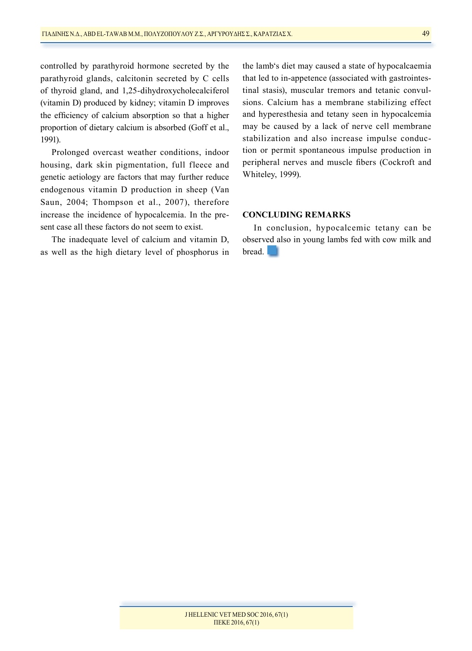controlled by parathyroid hormone secreted by the parathyroid glands, calcitonin secreted by C cells of thyroid gland, and 1,25-dihydroxycholecalciferol (vitamin D) produced by kidney; vitamin D improves the efficiency of calcium absorption so that a higher proportion of dietary calcium is absorbed (Goff et al., 1991).

Prolonged overcast weather conditions, indoor housing, dark skin pigmentation, full fleece and genetic aetiology are factors that may further reduce endogenous vitamin D production in sheep (Van Saun, 2004; Thompson et al., 2007), therefore increase the incidence of hypocalcemia. In the present case all these factors do not seem to exist.

The inadequate level of calcium and vitamin D, as well as the high dietary level of phosphorus in the lamb's diet may caused a state of hypocalcaemia that led to in-appetence (associated with gastrointestinal stasis), muscular tremors and tetanic convulsions. Calcium has a membrane stabilizing effect and hyperesthesia and tetany seen in hypocalcemia may be caused by a lack of nerve cell membrane stabilization and also increase impulse conduction or permit spontaneous impulse production in peripheral nerves and muscle fibers (Cockroft and Whiteley, 1999).

## **CONCLUDING REMARKS**

In conclusion, hypocalcemic tetany can be observed also in young lambs fed with cow milk and bread.

### J HELLENIC VET MED SOC 2016, 67(1) ΠΕΚΕ 2016, 67(1)